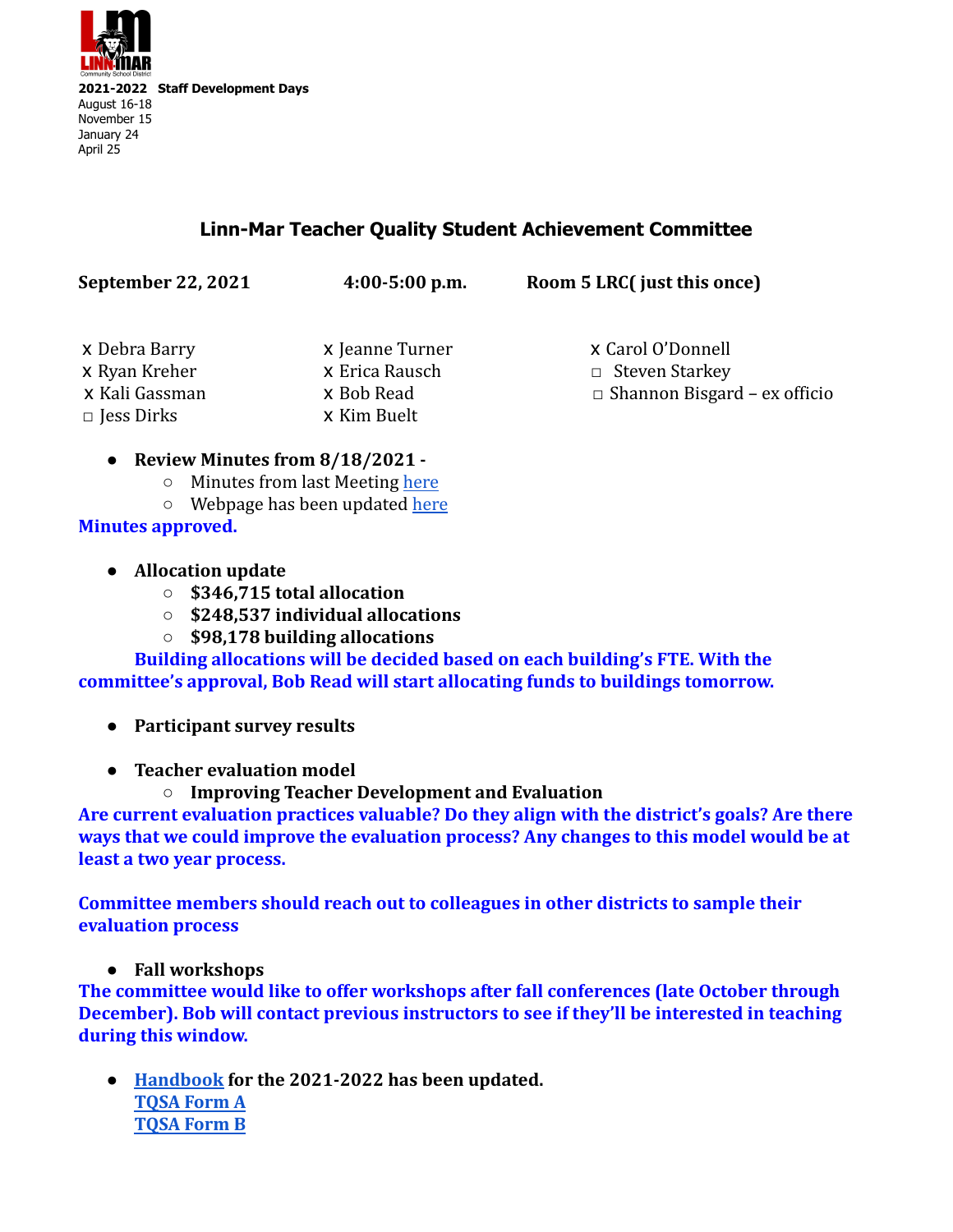

## **Linn-Mar Teacher Quality Student Achievement Committee**

| <b>September 22, 2021</b> | $4:00-5:00$ p.m. | Room 5 LRC( just this once)         |
|---------------------------|------------------|-------------------------------------|
| x Debra Barry             | x Jeanne Turner  | x Carol O'Donnell                   |
| x Ryan Kreher             | x Erica Rausch   | $\Box$ Steven Starkey               |
| x Kali Gassman            | x Bob Read       | $\Box$ Shannon Bisgard – ex officio |
| $\square$ Jess Dirks      | x Kim Buelt      |                                     |

## **● Review Minutes from 8/18/2021 -**

- Minutes from last Meeting [here](https://docs.google.com/document/u/0/d/1352WxMGr1_rR9dVwo2R4kTWYVQgn151gXqkYaHMwVwE/edit)
- Webpage has been updated [here](https://www.linnmar.k12.ia.us/students-staff/tqsa/)

**Minutes approved.**

- **● Allocation update**
	- **○ \$346,715 total allocation**
	- **○ \$248,537 individual allocations**
	- **○ \$98,178 building allocations**

**Building allocations will be decided based on each building's FTE. With the committee's approval, Bob Read will start allocating funds to buildings tomorrow.**

- **● Participant survey results**
- **● Teacher evaluation model**
	- **○ Improving Teacher Development and Evaluation**

**Are current evaluation practices valuable? Do they align with the district's goals? Are there ways that we could improve the evaluation process? Any changes to this model would be at least a two year process.**

**Committee members should reach out to colleagues in other districts to sample their evaluation process**

**● Fall workshops**

**The committee would like to offer workshops after fall conferences (late October through December). Bob will contact previous instructors to see if they'll be interested in teaching during this window.**

**● [Handbook](https://docs.google.com/document/d/1eN5NDU6yTWCPeYfHSmCJRZwLV27TJeLJwXVhMfKR85E/edit?usp=sharing) for the 2021-2022 has been updated. [TQSA Form A](https://docs.google.com/document/d/15HVX9rdBxHo24XZcMDEU4rHguRPMC_G5uCZ82whlAqk/edit?usp=sharing) [TQSA Form B](https://docs.google.com/document/d/1H9djycE2U2SGHpYBI-5T1aGFd3my3iJKLLDiV6TZ-dE/edit?usp=sharing)**